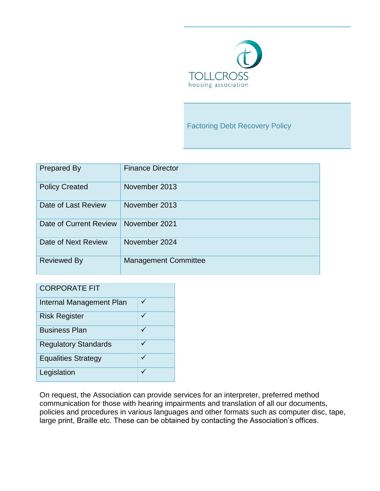

Factoring Debt Recovery Policy

| <b>Prepared By</b>     | <b>Finance Director</b>     |
|------------------------|-----------------------------|
| <b>Policy Created</b>  | November 2013               |
| Date of Last Review    | November 2013               |
| Date of Current Review | November 2021               |
| Date of Next Review    | November 2024               |
| <b>Reviewed By</b>     | <b>Management Committee</b> |

| <b>CORPORATE FIT</b>        |   |  |
|-----------------------------|---|--|
| Internal Management Plan    | ✓ |  |
| <b>Risk Register</b>        |   |  |
| <b>Business Plan</b>        |   |  |
| <b>Regulatory Standards</b> | ✓ |  |
| <b>Equalities Strategy</b>  |   |  |
| Legislation                 |   |  |

On request, the Association can provide services for an interpreter, preferred method communication for those with hearing impairments and translation of all our documents, policies and procedures in various languages and other formats such as computer disc, tape, large print, Braille etc. These can be obtained by contacting the Association's offices.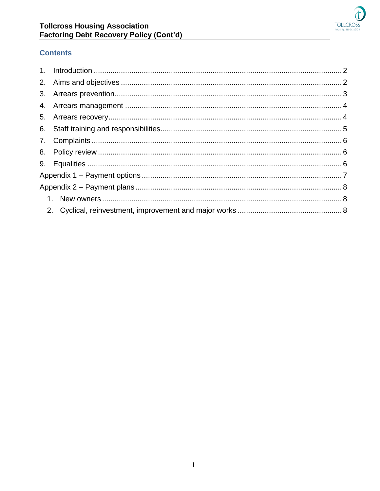

# **Contents**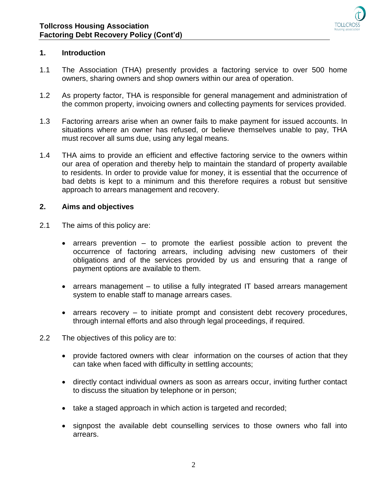

## <span id="page-2-0"></span>**1. Introduction**

- 1.1 The Association (THA) presently provides a factoring service to over 500 home owners, sharing owners and shop owners within our area of operation.
- 1.2 As property factor, THA is responsible for general management and administration of the common property, invoicing owners and collecting payments for services provided.
- 1.3 Factoring arrears arise when an owner fails to make payment for issued accounts. In situations where an owner has refused, or believe themselves unable to pay, THA must recover all sums due, using any legal means.
- 1.4 THA aims to provide an efficient and effective factoring service to the owners within our area of operation and thereby help to maintain the standard of property available to residents. In order to provide value for money, it is essential that the occurrence of bad debts is kept to a minimum and this therefore requires a robust but sensitive approach to arrears management and recovery.

#### <span id="page-2-1"></span>**2. Aims and objectives**

- 2.1 The aims of this policy are:
	- $\bullet$  arrears prevention to promote the earliest possible action to prevent the occurrence of factoring arrears, including advising new customers of their obligations and of the services provided by us and ensuring that a range of payment options are available to them.
	- arrears management to utilise a fully integrated IT based arrears management system to enable staff to manage arrears cases.
	- arrears recovery to initiate prompt and consistent debt recovery procedures, through internal efforts and also through legal proceedings, if required.
- 2.2 The objectives of this policy are to:
	- provide factored owners with clear information on the courses of action that they can take when faced with difficulty in settling accounts;
	- directly contact individual owners as soon as arrears occur, inviting further contact to discuss the situation by telephone or in person;
	- take a staged approach in which action is targeted and recorded;
	- signpost the available debt counselling services to those owners who fall into arrears.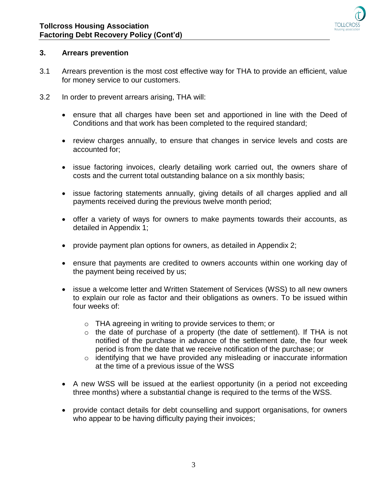

### <span id="page-3-0"></span>**3. Arrears prevention**

- 3.1 Arrears prevention is the most cost effective way for THA to provide an efficient, value for money service to our customers.
- 3.2 In order to prevent arrears arising, THA will:
	- ensure that all charges have been set and apportioned in line with the Deed of Conditions and that work has been completed to the required standard;
	- review charges annually, to ensure that changes in service levels and costs are accounted for;
	- issue factoring invoices, clearly detailing work carried out, the owners share of costs and the current total outstanding balance on a six monthly basis;
	- issue factoring statements annually, giving details of all charges applied and all payments received during the previous twelve month period;
	- offer a variety of ways for owners to make payments towards their accounts, as detailed in Appendix 1;
	- provide payment plan options for owners, as detailed in Appendix 2;
	- ensure that payments are credited to owners accounts within one working day of the payment being received by us;
	- issue a welcome letter and Written Statement of Services (WSS) to all new owners to explain our role as factor and their obligations as owners. To be issued within four weeks of:
		- o THA agreeing in writing to provide services to them; or
		- o the date of purchase of a property (the date of settlement). If THA is not notified of the purchase in advance of the settlement date, the four week period is from the date that we receive notification of the purchase; or
		- o identifying that we have provided any misleading or inaccurate information at the time of a previous issue of the WSS
	- A new WSS will be issued at the earliest opportunity (in a period not exceeding three months) where a substantial change is required to the terms of the WSS.
	- provide contact details for debt counselling and support organisations, for owners who appear to be having difficulty paying their invoices;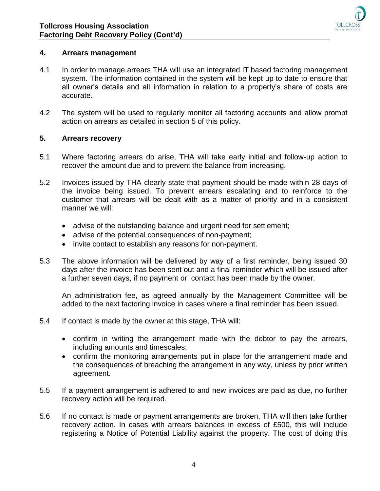

### <span id="page-4-0"></span>**4. Arrears management**

- 4.1 In order to manage arrears THA will use an integrated IT based factoring management system. The information contained in the system will be kept up to date to ensure that all owner's details and all information in relation to a property's share of costs are accurate.
- 4.2 The system will be used to regularly monitor all factoring accounts and allow prompt action on arrears as detailed in section 5 of this policy.

### <span id="page-4-1"></span>**5. Arrears recovery**

- 5.1 Where factoring arrears do arise, THA will take early initial and follow-up action to recover the amount due and to prevent the balance from increasing.
- 5.2 Invoices issued by THA clearly state that payment should be made within 28 days of the invoice being issued. To prevent arrears escalating and to reinforce to the customer that arrears will be dealt with as a matter of priority and in a consistent manner we will:
	- advise of the outstanding balance and urgent need for settlement;
	- advise of the potential consequences of non-payment;
	- invite contact to establish any reasons for non-payment.
- 5.3 The above information will be delivered by way of a first reminder, being issued 30 days after the invoice has been sent out and a final reminder which will be issued after a further seven days, if no payment or contact has been made by the owner.

An administration fee, as agreed annually by the Management Committee will be added to the next factoring invoice in cases where a final reminder has been issued.

- 5.4 If contact is made by the owner at this stage, THA will:
	- confirm in writing the arrangement made with the debtor to pay the arrears, including amounts and timescales;
	- confirm the monitoring arrangements put in place for the arrangement made and the consequences of breaching the arrangement in any way, unless by prior written agreement.
- 5.5 If a payment arrangement is adhered to and new invoices are paid as due, no further recovery action will be required.
- 5.6 If no contact is made or payment arrangements are broken, THA will then take further recovery action. In cases with arrears balances in excess of £500, this will include registering a Notice of Potential Liability against the property. The cost of doing this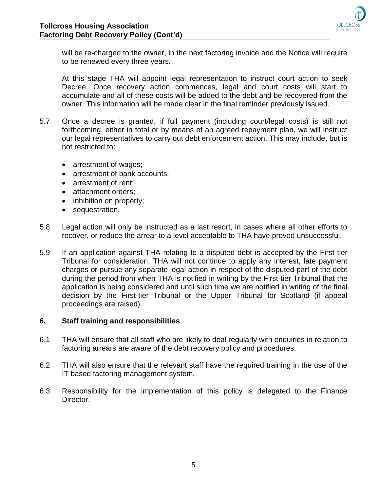

will be re-charged to the owner, in the next factoring invoice and the Notice will require to be renewed every three years.

At this stage THA will appoint legal representation to instruct court action to seek Decree. Once recovery action commences, legal and court costs will start to accumulate and all of these costs will be added to the debt and be recovered from the owner. This information will be made clear in the final reminder previously issued.

- 5.7 Once a decree is granted, if full payment (including court/legal costs) is still not forthcoming, either in total or by means of an agreed repayment plan, we will instruct our legal representatives to carry out debt enforcement action. This may include, but is not restricted to:
	- arrestment of wages;
	- arrestment of bank accounts;
	- arrestment of rent:
	- attachment orders:
	- inhibition on property;
	- sequestration.
- 5.8 Legal action will only be instructed as a last resort, in cases where all other efforts to recover, or reduce the arrear to a level acceptable to THA have proved unsuccessful.
- 5.9 If an application against THA relating to a disputed debt is accepted by the First-tier Tribunal for consideration, THA will not continue to apply any interest, late payment charges or pursue any separate legal action in respect of the disputed part of the debt during the period from when THA is notified in writing by the First-tier Tribunal that the application is being considered and until such time we are notified in writing of the final decision by the First-tier Tribunal or the Upper Tribunal for Scotland (if appeal proceedings are raised).

### <span id="page-5-0"></span>**6. Staff training and responsibilities**

- 6.1 THA will ensure that all staff who are likely to deal regularly with enquiries in relation to factoring arrears are aware of the debt recovery policy and procedures.
- 6.2 THA will also ensure that the relevant staff have the required training in the use of the IT based factoring management system.
- 6.3 Responsibility for the implementation of this policy is delegated to the Finance Director.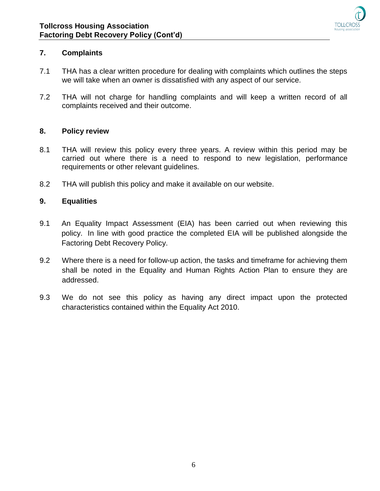

# <span id="page-6-0"></span>**7. Complaints**

- 7.1 THA has a clear written procedure for dealing with complaints which outlines the steps we will take when an owner is dissatisfied with any aspect of our service.
- 7.2 THA will not charge for handling complaints and will keep a written record of all complaints received and their outcome.

### <span id="page-6-1"></span>**8. Policy review**

- 8.1 THA will review this policy every three years. A review within this period may be carried out where there is a need to respond to new legislation, performance requirements or other relevant guidelines.
- 8.2 THA will publish this policy and make it available on our website.

### <span id="page-6-2"></span>**9. Equalities**

- 9.1 An Equality Impact Assessment (EIA) has been carried out when reviewing this policy. In line with good practice the completed EIA will be published alongside the Factoring Debt Recovery Policy.
- 9.2 Where there is a need for follow-up action, the tasks and timeframe for achieving them shall be noted in the Equality and Human Rights Action Plan to ensure they are addressed.
- 9.3 We do not see this policy as having any direct impact upon the protected characteristics contained within the Equality Act 2010.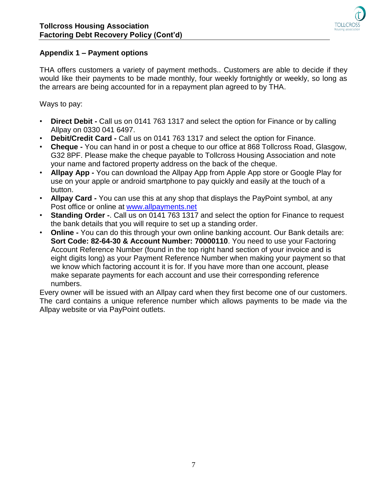

# <span id="page-7-0"></span>**Appendix 1 – Payment options**

THA offers customers a variety of payment methods.. Customers are able to decide if they would like their payments to be made monthly, four weekly fortnightly or weekly, so long as the arrears are being accounted for in a repayment plan agreed to by THA.

Ways to pay:

- **Direct Debit -** Call us on 0141 763 1317 and select the option for Finance or by calling Allpay on 0330 041 6497.
- **Debit/Credit Card -** Call us on 0141 763 1317 and select the option for Finance.
- **Cheque -** You can hand in or post a cheque to our office at 868 Tollcross Road, Glasgow, G32 8PF. Please make the cheque payable to Tollcross Housing Association and note your name and factored property address on the back of the cheque.
- **Allpay App -** You can download the Allpay App from Apple App store or Google Play for use on your apple or android smartphone to pay quickly and easily at the touch of a button.
- **Allpay Card -** You can use this at any shop that displays the PayPoint symbol, at any Post office or online at [www.allpayments.net](http://www.allpayments.net/)
- **Standing Order -**. Call us on 0141 763 1317 and select the option for Finance to request the bank details that you will require to set up a standing order.
- **Online -** You can do this through your own online banking account. Our Bank details are: **Sort Code: 82-64-30 & Account Number: 70000110**. You need to use your Factoring Account Reference Number (found in the top right hand section of your invoice and is eight digits long) as your Payment Reference Number when making your payment so that we know which factoring account it is for. If you have more than one account, please make separate payments for each account and use their corresponding reference numbers.

Every owner will be issued with an Allpay card when they first become one of our customers. The card contains a unique reference number which allows payments to be made via the Allpay website or via PayPoint outlets.